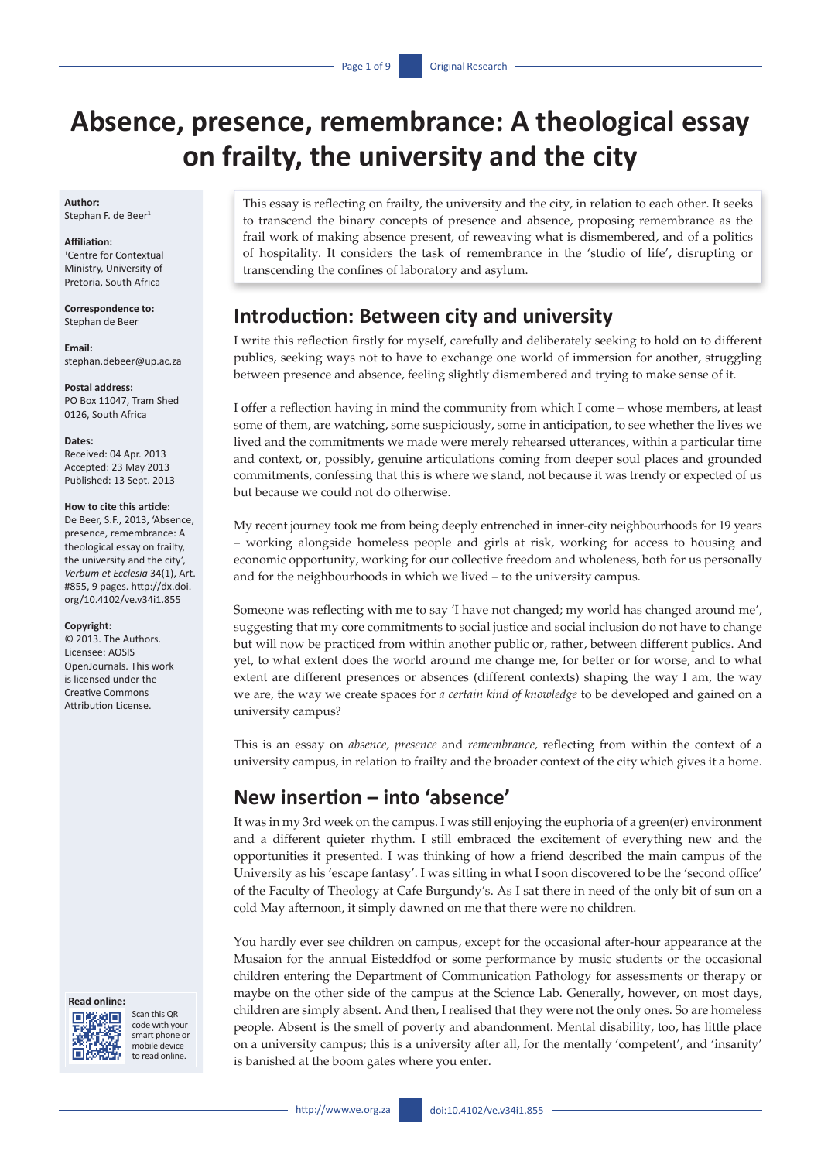# **Absence, presence, remembrance: A theological essay on frailty, the university and the city**

**Author:** Stephan F. de Beer<sup>1</sup>

#### **Affiliation:** 1 Centre for Contextual Ministry, University of Pretoria, South Africa

**Correspondence to:** Stephan de Beer

**Email:** [stephan.debeer@up.ac.za](mailto:stephan.debeer@up.ac.za)

**Postal address:** PO Box 11047, Tram Shed 0126, South Africa

#### **Dates:**

Received: 04 Apr. 2013 Accepted: 23 May 2013 Published: 13 Sept. 2013

#### **How to cite this article:**

De Beer, S.F., 2013, 'Absence, presence, remembrance: A theological essay on frailty, the university and the city', *Verbum et Ecclesia* 34(1), Art. #855, 9 pages. [http://dx.doi.](http://dx.doi.org/10.4102/ve.v34i1.855) [org/10.4102/ve.v34i1.855](http://dx.doi.org/10.4102/ve.v34i1.855)

#### **Copyright:**

© 2013. The Authors. Licensee: AOSIS OpenJournals. This work is licensed under the Creative Commons Attribution License.

#### **Read online:**



Scan this QR code with your smart phone or mobile device to read online.

This essay is reflecting on frailty, the university and the city, in relation to each other. It seeks to transcend the binary concepts of presence and absence, proposing remembrance as the frail work of making absence present, of reweaving what is dismembered, and of a politics of hospitality. It considers the task of remembrance in the 'studio of life', disrupting or transcending the confines of laboratory and asylum.

### **Introduction: Between city and university**

I write this reflection firstly for myself, carefully and deliberately seeking to hold on to different publics, seeking ways not to have to exchange one world of immersion for another, struggling between presence and absence, feeling slightly dismembered and trying to make sense of it.

I offer a reflection having in mind the community from which I come – whose members, at least some of them, are watching, some suspiciously, some in anticipation, to see whether the lives we lived and the commitments we made were merely rehearsed utterances, within a particular time and context, or, possibly, genuine articulations coming from deeper soul places and grounded commitments, confessing that this is where we stand, not because it was trendy or expected of us but because we could not do otherwise.

My recent journey took me from being deeply entrenched in inner-city neighbourhoods for 19 years – working alongside homeless people and girls at risk, working for access to housing and economic opportunity, working for our collective freedom and wholeness, both for us personally and for the neighbourhoods in which we lived – to the university campus.

Someone was reflecting with me to say 'I have not changed; my world has changed around me', suggesting that my core commitments to social justice and social inclusion do not have to change but will now be practiced from within another public or, rather, between different publics. And yet, to what extent does the world around me change me, for better or for worse, and to what extent are different presences or absences (different contexts) shaping the way I am, the way we are, the way we create spaces for *a certain kind of knowledge* to be developed and gained on a university campus?

This is an essay on *absence, presence* and *remembrance,* reflecting from within the context of a university campus, in relation to frailty and the broader context of the city which gives it a home.

## **New insertion – into 'absence'**

It was in my 3rd week on the campus. I was still enjoying the euphoria of a green(er) environment and a different quieter rhythm. I still embraced the excitement of everything new and the opportunities it presented. I was thinking of how a friend described the main campus of the University as his 'escape fantasy'. I was sitting in what I soon discovered to be the 'second office' of the Faculty of Theology at Cafe Burgundy's. As I sat there in need of the only bit of sun on a cold May afternoon, it simply dawned on me that there were no children.

You hardly ever see children on campus, except for the occasional after-hour appearance at the Musaion for the annual Eisteddfod or some performance by music students or the occasional children entering the Department of Communication Pathology for assessments or therapy or maybe on the other side of the campus at the Science Lab. Generally, however, on most days, children are simply absent. And then, I realised that they were not the only ones. So are homeless people. Absent is the smell of poverty and abandonment. Mental disability, too, has little place on a university campus; this is a university after all, for the mentally 'competent', and 'insanity' is banished at the boom gates where you enter.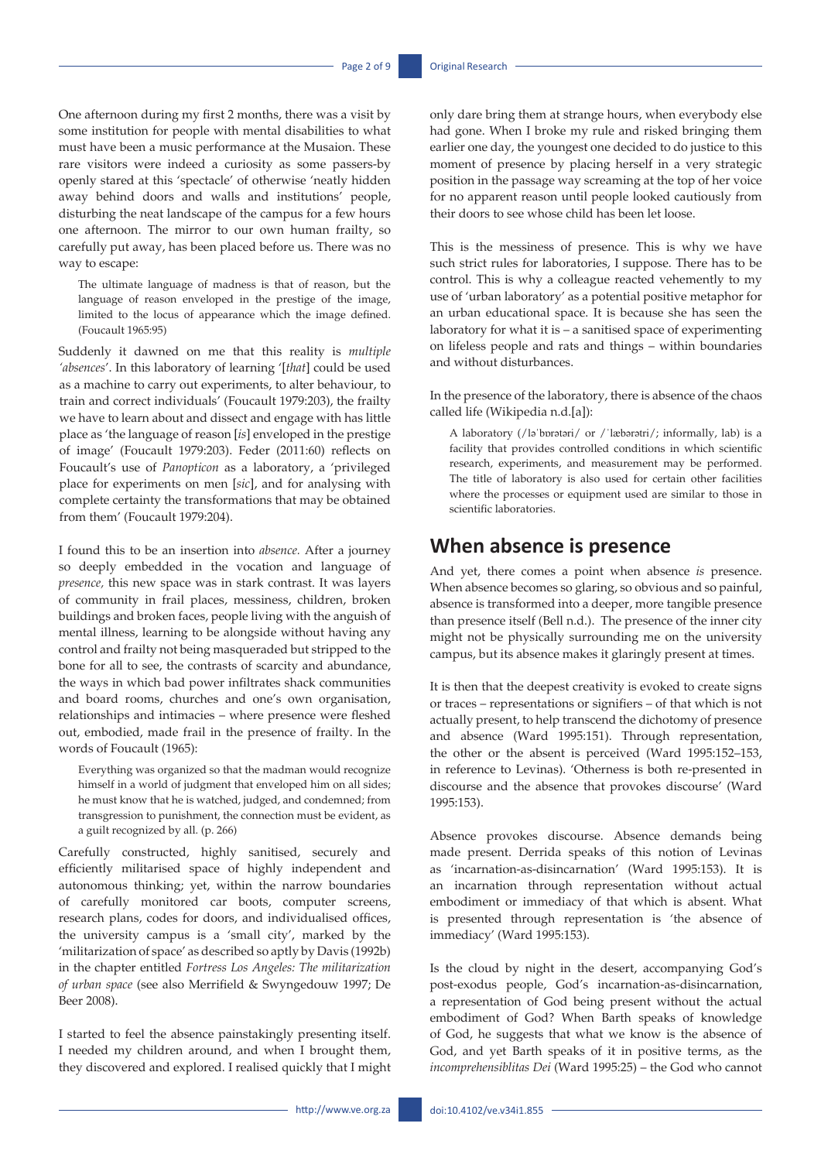One afternoon during my first 2 months, there was a visit by some institution for people with mental disabilities to what must have been a music performance at the Musaion. These rare visitors were indeed a curiosity as some passers-by openly stared at this 'spectacle' of otherwise 'neatly hidden away behind doors and walls and institutions' people, disturbing the neat landscape of the campus for a few hours one afternoon. The mirror to our own human frailty, so carefully put away, has been placed before us. There was no way to escape:

The ultimate language of madness is that of reason, but the language of reason enveloped in the prestige of the image, limited to the locus of appearance which the image defined. (Foucault 1965:95)

Suddenly it dawned on me that this reality is *multiple 'absences*'. In this laboratory of learning '[*that*] could be used as a machine to carry out experiments, to alter behaviour, to train and correct individuals' (Foucault 1979:203), the frailty we have to learn about and dissect and engage with has little place as 'the language of reason [*is*] enveloped in the prestige of image' (Foucault 1979:203). Feder (2011:60) reflects on Foucault's use of *Panopticon* as a laboratory, a 'privileged place for experiments on men [*sic*], and for analysing with complete certainty the transformations that may be obtained from them' (Foucault 1979:204).

I found this to be an insertion into *absence.* After a journey so deeply embedded in the vocation and language of *presence,* this new space was in stark contrast. It was layers of community in frail places, messiness, children, broken buildings and broken faces, people living with the anguish of mental illness, learning to be alongside without having any control and frailty not being masqueraded but stripped to the bone for all to see, the contrasts of scarcity and abundance, the ways in which bad power infiltrates shack communities and board rooms, churches and one's own organisation, relationships and intimacies – where presence were fleshed out, embodied, made frail in the presence of frailty. In the words of Foucault (1965):

Everything was organized so that the madman would recognize himself in a world of judgment that enveloped him on all sides; he must know that he is watched, judged, and condemned; from transgression to punishment, the connection must be evident, as a guilt recognized by all. (p. 266)

Carefully constructed, highly sanitised, securely and efficiently militarised space of highly independent and autonomous thinking; yet, within the narrow boundaries of carefully monitored car boots, computer screens, research plans, codes for doors, and individualised offices, the university campus is a 'small city', marked by the 'militarization of space' as described so aptly by Davis (1992b) in the chapter entitled *Fortress Los Angeles: The militarization of urban space* (see also Merrifield & Swyngedouw 1997; De Beer 2008).

I started to feel the absence painstakingly presenting itself. I needed my children around, and when I brought them, they discovered and explored. I realised quickly that I might only dare bring them at strange hours, when everybody else had gone. When I broke my rule and risked bringing them earlier one day, the youngest one decided to do justice to this moment of presence by placing herself in a very strategic position in the passage way screaming at the top of her voice for no apparent reason until people looked cautiously from their doors to see whose child has been let loose.

This is the messiness of presence. This is why we have such strict rules for laboratories, I suppose. There has to be control. This is why a colleague reacted vehemently to my use of 'urban laboratory' as a potential positive metaphor for an urban educational space. It is because she has seen the laboratory for what it is – a sanitised space of experimenting on lifeless people and rats and things – within boundaries and without disturbances.

In the presence of the laboratory, there is absence of the chaos called life (Wikipedia n.d.[a]):

A laboratory (/ləˈbɒrətəri/ or /ˈlæbərətri/; informally, lab) is a facility that provides controlled conditions in which scientific research, experiments, and measurement may be performed. The title of laboratory is also used for certain other facilities where the processes or equipment used are similar to those in scientific laboratories.

#### **When absence is presence**

And yet, there comes a point when absence *is* presence. When absence becomes so glaring, so obvious and so painful, absence is transformed into a deeper, more tangible presence than presence itself (Bell n.d.). The presence of the inner city might not be physically surrounding me on the university campus, but its absence makes it glaringly present at times.

It is then that the deepest creativity is evoked to create signs or traces – representations or signifiers – of that which is not actually present, to help transcend the dichotomy of presence and absence (Ward 1995:151). Through representation, the other or the absent is perceived (Ward 1995:152–153, in reference to Levinas). 'Otherness is both re-presented in discourse and the absence that provokes discourse' (Ward 1995:153).

Absence provokes discourse. Absence demands being made present. Derrida speaks of this notion of Levinas as 'incarnation-as-disincarnation' (Ward 1995:153). It is an incarnation through representation without actual embodiment or immediacy of that which is absent. What is presented through representation is 'the absence of immediacy' (Ward 1995:153).

Is the cloud by night in the desert, accompanying God's post-exodus people, God's incarnation-as-disincarnation, a representation of God being present without the actual embodiment of God? When Barth speaks of knowledge of God, he suggests that what we know is the absence of God, and yet Barth speaks of it in positive terms, as the *incomprehensiblitas Dei* (Ward 1995:25) – the God who cannot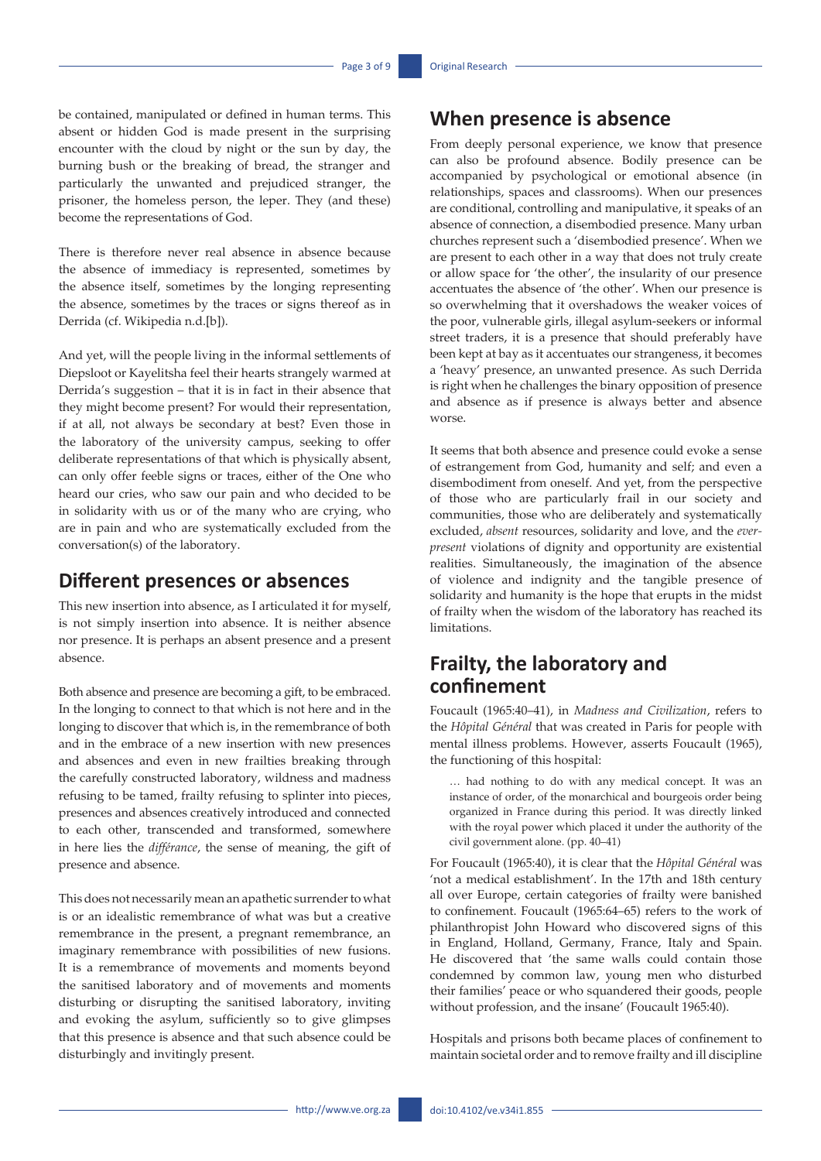be contained, manipulated or defined in human terms. This absent or hidden God is made present in the surprising encounter with the cloud by night or the sun by day, the burning bush or the breaking of bread, the stranger and particularly the unwanted and prejudiced stranger, the prisoner, the homeless person, the leper. They (and these) become the representations of God.

There is therefore never real absence in absence because the absence of immediacy is represented, sometimes by the absence itself, sometimes by the longing representing the absence, sometimes by the traces or signs thereof as in Derrida (cf. Wikipedia n.d.[b]).

And yet, will the people living in the informal settlements of Diepsloot or Kayelitsha feel their hearts strangely warmed at Derrida's suggestion – that it is in fact in their absence that they might become present? For would their representation, if at all, not always be secondary at best? Even those in the laboratory of the university campus, seeking to offer deliberate representations of that which is physically absent, can only offer feeble signs or traces, either of the One who heard our cries, who saw our pain and who decided to be in solidarity with us or of the many who are crying, who are in pain and who are systematically excluded from the conversation(s) of the laboratory.

#### **Different presences or absences**

This new insertion into absence, as I articulated it for myself, is not simply insertion into absence. It is neither absence nor presence. It is perhaps an absent presence and a present absence.

Both absence and presence are becoming a gift, to be embraced. In the longing to connect to that which is not here and in the longing to discover that which is, in the remembrance of both and in the embrace of a new insertion with new presences and absences and even in new frailties breaking through the carefully constructed laboratory, wildness and madness refusing to be tamed, frailty refusing to splinter into pieces, presences and absences creatively introduced and connected to each other, transcended and transformed, somewhere in here lies the *différance*, the sense of meaning, the gift of presence and absence.

This does not necessarily mean an apathetic surrender to what is or an idealistic remembrance of what was but a creative remembrance in the present, a pregnant remembrance, an imaginary remembrance with possibilities of new fusions. It is a remembrance of movements and moments beyond the sanitised laboratory and of movements and moments disturbing or disrupting the sanitised laboratory, inviting and evoking the asylum, sufficiently so to give glimpses that this presence is absence and that such absence could be disturbingly and invitingly present.

### **When presence is absence**

From deeply personal experience, we know that presence can also be profound absence. Bodily presence can be accompanied by psychological or emotional absence (in relationships, spaces and classrooms). When our presences are conditional, controlling and manipulative, it speaks of an absence of connection, a disembodied presence. Many urban churches represent such a 'disembodied presence'. When we are present to each other in a way that does not truly create or allow space for 'the other', the insularity of our presence accentuates the absence of 'the other'. When our presence is so overwhelming that it overshadows the weaker voices of the poor, vulnerable girls, illegal asylum-seekers or informal street traders, it is a presence that should preferably have been kept at bay as it accentuates our strangeness, it becomes a 'heavy' presence, an unwanted presence. As such Derrida is right when he challenges the binary opposition of presence and absence as if presence is always better and absence worse.

It seems that both absence and presence could evoke a sense of estrangement from God, humanity and self; and even a disembodiment from oneself. And yet, from the perspective of those who are particularly frail in our society and communities, those who are deliberately and systematically excluded, *absent* resources, solidarity and love, and the *everpresent* violations of dignity and opportunity are existential realities. Simultaneously, the imagination of the absence of violence and indignity and the tangible presence of solidarity and humanity is the hope that erupts in the midst of frailty when the wisdom of the laboratory has reached its limitations.

### **Frailty, the laboratory and confinement**

Foucault (1965:40–41), in *Madness and Civilization*, refers to the *Hôpital Général* that was created in Paris for people with mental illness problems. However, asserts Foucault (1965), the functioning of this hospital:

… had nothing to do with any medical concept. It was an instance of order, of the monarchical and bourgeois order being organized in France during this period. It was directly linked with the royal power which placed it under the authority of the civil government alone. (pp. 40–41)

For Foucault (1965:40), it is clear that the *Hôpital Général* was 'not a medical establishment'. In the 17th and 18th century all over Europe, certain categories of frailty were banished to confinement. Foucault (1965:64–65) refers to the work of philanthropist John Howard who discovered signs of this in England, Holland, Germany, France, Italy and Spain. He discovered that 'the same walls could contain those condemned by common law, young men who disturbed their families' peace or who squandered their goods, people without profession, and the insane' (Foucault 1965:40).

Hospitals and prisons both became places of confinement to maintain societal order and to remove frailty and ill discipline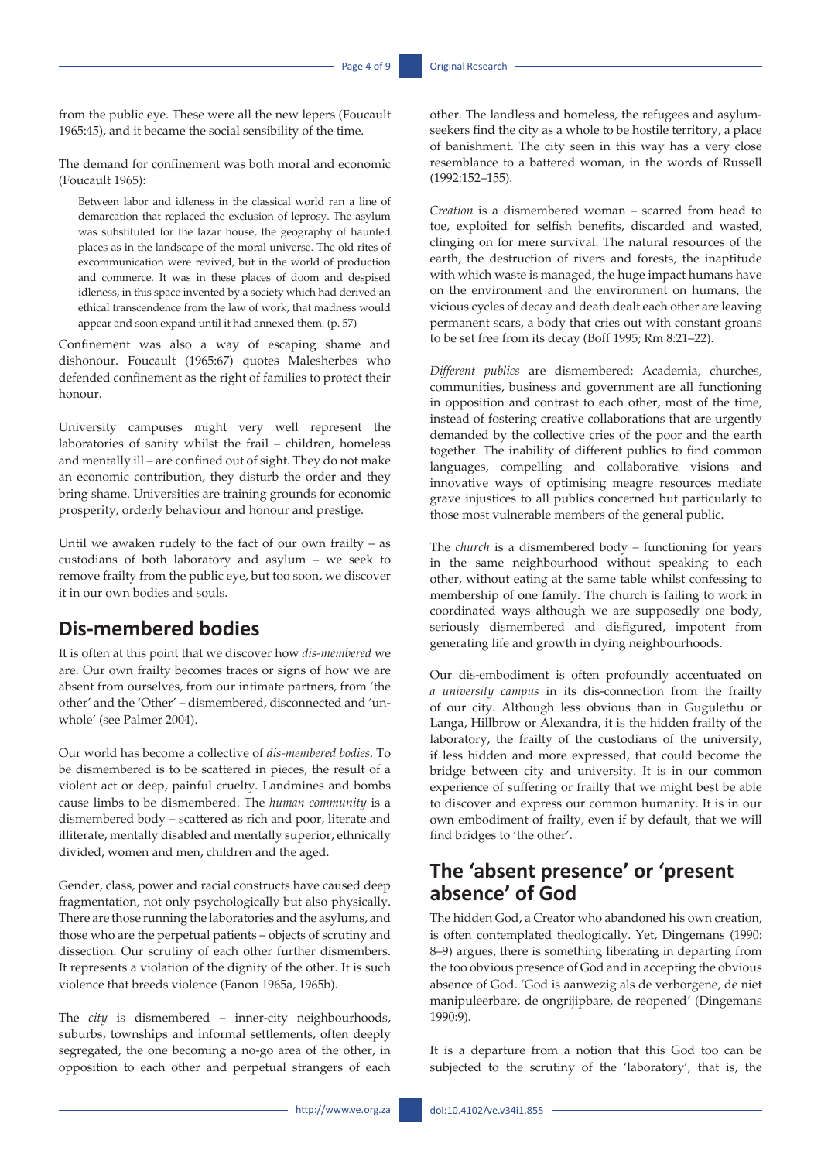from the public eye. These were all the new lepers (Foucault 1965:45), and it became the social sensibility of the time.

The demand for confinement was both moral and economic (Foucault 1965):

Between labor and idleness in the classical world ran a line of demarcation that replaced the exclusion of leprosy. The asylum was substituted for the lazar house, the geography of haunted places as in the landscape of the moral universe. The old rites of excommunication were revived, but in the world of production and commerce. It was in these places of doom and despised idleness, in this space invented by a society which had derived an ethical transcendence from the law of work, that madness would appear and soon expand until it had annexed them. (p. 57)

Confinement was also a way of escaping shame and dishonour. Foucault (1965:67) quotes Malesherbes who defended confinement as the right of families to protect their honour.

University campuses might very well represent the laboratories of sanity whilst the frail – children, homeless and mentally ill – are confined out of sight. They do not make an economic contribution, they disturb the order and they bring shame. Universities are training grounds for economic prosperity, orderly behaviour and honour and prestige.

Until we awaken rudely to the fact of our own frailty – as custodians of both laboratory and asylum – we seek to remove frailty from the public eye, but too soon, we discover it in our own bodies and souls.

### **Dis-membered bodies**

It is often at this point that we discover how *dis-membered* we are. Our own frailty becomes traces or signs of how we are absent from ourselves, from our intimate partners, from 'the other' and the 'Other' – dismembered, disconnected and 'unwhole' (see Palmer 2004).

Our world has become a collective of *dis-membered bodies*. To be dismembered is to be scattered in pieces, the result of a violent act or deep, painful cruelty. Landmines and bombs cause limbs to be dismembered. The *human community* is a dismembered body – scattered as rich and poor, literate and illiterate, mentally disabled and mentally superior, ethnically divided, women and men, children and the aged.

Gender, class, power and racial constructs have caused deep fragmentation, not only psychologically but also physically. There are those running the laboratories and the asylums, and those who are the perpetual patients – objects of scrutiny and dissection. Our scrutiny of each other further dismembers. It represents a violation of the dignity of the other. It is such violence that breeds violence (Fanon 1965a, 1965b).

The *city* is dismembered – inner-city neighbourhoods, suburbs, townships and informal settlements, often deeply segregated, the one becoming a no-go area of the other, in opposition to each other and perpetual strangers of each

other. The landless and homeless, the refugees and asylumseekers find the city as a whole to be hostile territory, a place of banishment. The city seen in this way has a very close resemblance to a battered woman, in the words of Russell (1992:152–155).

*Creation* is a dismembered woman – scarred from head to toe, exploited for selfish benefits, discarded and wasted, clinging on for mere survival. The natural resources of the earth, the destruction of rivers and forests, the inaptitude with which waste is managed, the huge impact humans have on the environment and the environment on humans, the vicious cycles of decay and death dealt each other are leaving permanent scars, a body that cries out with constant groans to be set free from its decay (Boff 1995; Rm 8:21–22).

*Different publics* are dismembered: Academia, churches, communities, business and government are all functioning in opposition and contrast to each other, most of the time, instead of fostering creative collaborations that are urgently demanded by the collective cries of the poor and the earth together. The inability of different publics to find common languages, compelling and collaborative visions and innovative ways of optimising meagre resources mediate grave injustices to all publics concerned but particularly to those most vulnerable members of the general public.

The *church* is a dismembered body *–* functioning for years in the same neighbourhood without speaking to each other, without eating at the same table whilst confessing to membership of one family. The church is failing to work in coordinated ways although we are supposedly one body, seriously dismembered and disfigured, impotent from generating life and growth in dying neighbourhoods.

Our dis-embodiment is often profoundly accentuated on *a university campus* in its dis-connection from the frailty of our city. Although less obvious than in Gugulethu or Langa, Hillbrow or Alexandra, it is the hidden frailty of the laboratory, the frailty of the custodians of the university, if less hidden and more expressed, that could become the bridge between city and university. It is in our common experience of suffering or frailty that we might best be able to discover and express our common humanity. It is in our own embodiment of frailty, even if by default, that we will find bridges to 'the other'.

# **The 'absent presence' or 'present absence' of God**

The hidden God, a Creator who abandoned his own creation, is often contemplated theologically. Yet, Dingemans (1990: 8–9) argues, there is something liberating in departing from the too obvious presence of God and in accepting the obvious absence of God. 'God is aanwezig als de verborgene, de niet manipuleerbare, de ongrijipbare, de reopened' (Dingemans 1990:9).

It is a departure from a notion that this God too can be subjected to the scrutiny of the 'laboratory', that is, the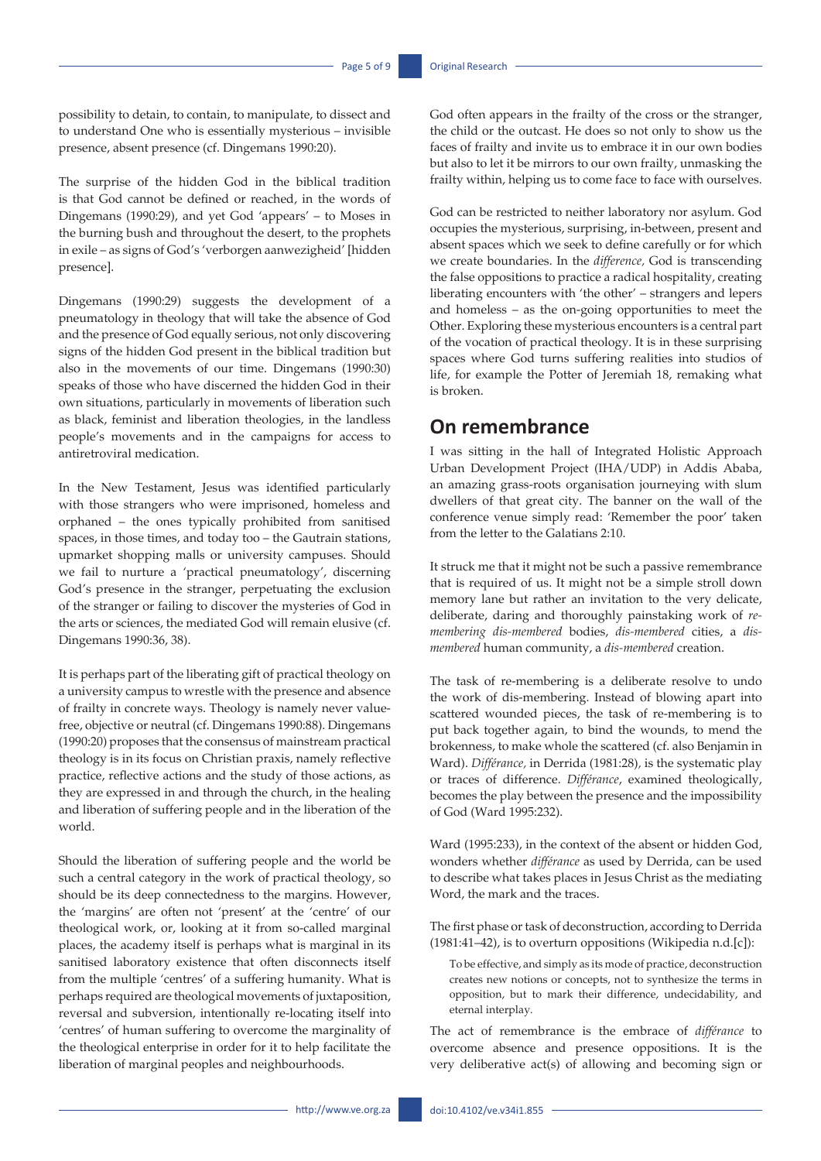possibility to detain, to contain, to manipulate, to dissect and to understand One who is essentially mysterious – invisible presence, absent presence (cf. Dingemans 1990:20).

The surprise of the hidden God in the biblical tradition is that God cannot be defined or reached, in the words of Dingemans (1990:29), and yet God 'appears' – to Moses in the burning bush and throughout the desert, to the prophets in exile – as signs of God's 'verborgen aanwezigheid' [hidden presence].

Dingemans (1990:29) suggests the development of a pneumatology in theology that will take the absence of God and the presence of God equally serious, not only discovering signs of the hidden God present in the biblical tradition but also in the movements of our time. Dingemans (1990:30) speaks of those who have discerned the hidden God in their own situations, particularly in movements of liberation such as black, feminist and liberation theologies, in the landless people's movements and in the campaigns for access to antiretroviral medication.

In the New Testament, Jesus was identified particularly with those strangers who were imprisoned, homeless and orphaned – the ones typically prohibited from sanitised spaces, in those times, and today too – the Gautrain stations, upmarket shopping malls or university campuses. Should we fail to nurture a 'practical pneumatology', discerning God's presence in the stranger, perpetuating the exclusion of the stranger or failing to discover the mysteries of God in the arts or sciences, the mediated God will remain elusive (cf. Dingemans 1990:36, 38).

It is perhaps part of the liberating gift of practical theology on a university campus to wrestle with the presence and absence of frailty in concrete ways. Theology is namely never valuefree, objective or neutral (cf. Dingemans 1990:88). Dingemans (1990:20) proposes that the consensus of mainstream practical theology is in its focus on Christian praxis, namely reflective practice, reflective actions and the study of those actions, as they are expressed in and through the church, in the healing and liberation of suffering people and in the liberation of the world.

Should the liberation of suffering people and the world be such a central category in the work of practical theology, so should be its deep connectedness to the margins. However, the 'margins' are often not 'present' at the 'centre' of our theological work, or, looking at it from so-called marginal places, the academy itself is perhaps what is marginal in its sanitised laboratory existence that often disconnects itself from the multiple 'centres' of a suffering humanity. What is perhaps required are theological movements of juxtaposition, reversal and subversion, intentionally re-locating itself into 'centres' of human suffering to overcome the marginality of the theological enterprise in order for it to help facilitate the liberation of marginal peoples and neighbourhoods.

God often appears in the frailty of the cross or the stranger, the child or the outcast. He does so not only to show us the faces of frailty and invite us to embrace it in our own bodies but also to let it be mirrors to our own frailty, unmasking the frailty within, helping us to come face to face with ourselves.

God can be restricted to neither laboratory nor asylum. God occupies the mysterious, surprising, in-between, present and absent spaces which we seek to define carefully or for which we create boundaries. In the *difference,* God is transcending the false oppositions to practice a radical hospitality, creating liberating encounters with 'the other' – strangers and lepers and homeless – as the on-going opportunities to meet the Other. Exploring these mysterious encounters is a central part of the vocation of practical theology. It is in these surprising spaces where God turns suffering realities into studios of life, for example the Potter of Jeremiah 18, remaking what is broken.

### **On remembrance**

I was sitting in the hall of Integrated Holistic Approach Urban Development Project (IHA/UDP) in Addis Ababa, an amazing grass-roots organisation journeying with slum dwellers of that great city. The banner on the wall of the conference venue simply read: 'Remember the poor' taken from the letter to the Galatians 2:10.

It struck me that it might not be such a passive remembrance that is required of us. It might not be a simple stroll down memory lane but rather an invitation to the very delicate, deliberate, daring and thoroughly painstaking work of *remembering dis-membered* bodies, *dis-membered* cities, a *dismembered* human community, a *dis-membered* creation.

The task of re-membering is a deliberate resolve to undo the work of dis-membering. Instead of blowing apart into scattered wounded pieces, the task of re-membering is to put back together again, to bind the wounds, to mend the brokenness, to make whole the scattered (cf. also Benjamin in Ward). *Différance,* in Derrida (1981:28)*,* is the systematic play or traces of difference. *Différance*, examined theologically, becomes the play between the presence and the impossibility of God (Ward 1995:232).

Ward (1995:233), in the context of the absent or hidden God, wonders whether *différance* as used by Derrida, can be used to describe what takes places in Jesus Christ as the mediating Word, the mark and the traces.

The first phase or task of deconstruction, according to Derrida  $(1981:41-42)$ , is to overturn oppositions (Wikipedia n.d.[c]):

To be effective, and simply as its mode of practice, deconstruction creates new notions or concepts, not to synthesize the terms in opposition, but to mark their difference, undecidability, and eternal interplay.

The act of remembrance is the embrace of *différance* to overcome absence and presence oppositions. It is the very deliberative act(s) of allowing and becoming sign or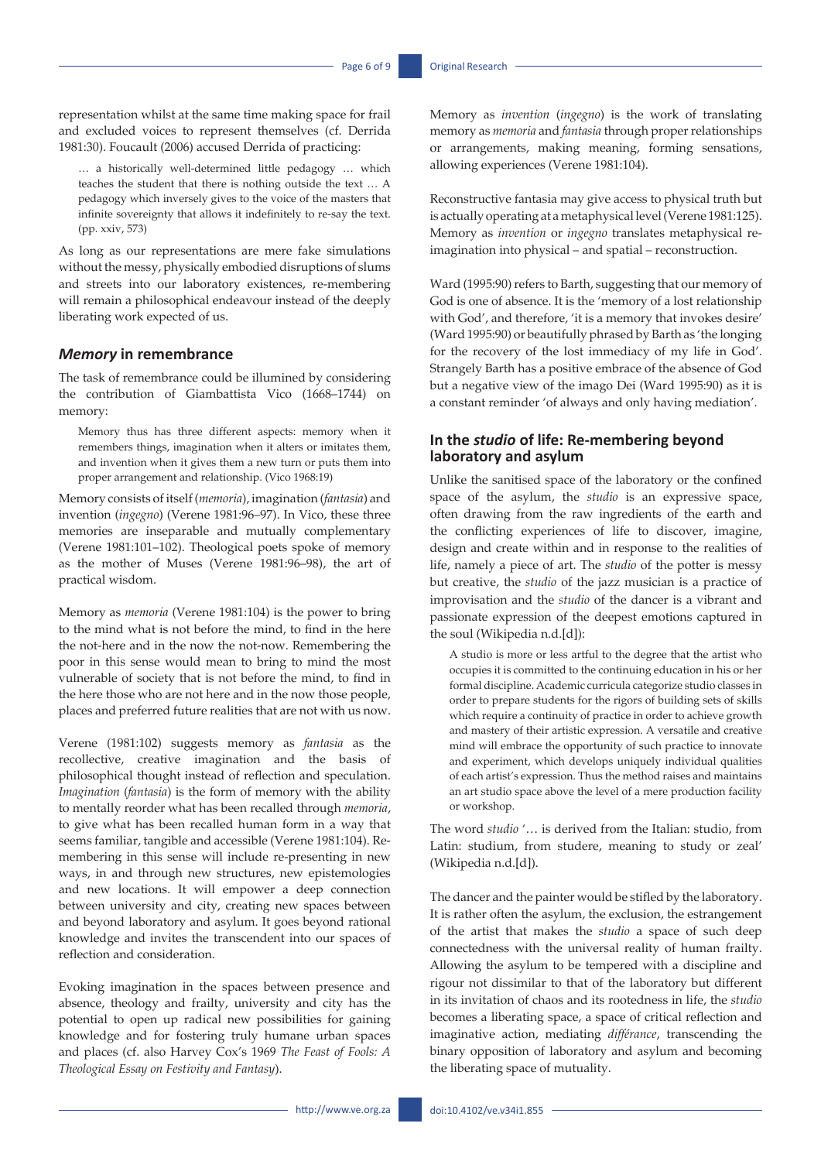representation whilst at the same time making space for frail and excluded voices to represent themselves (cf. Derrida 1981:30). Foucault (2006) accused Derrida of practicing:

… a historically well-determined little pedagogy … which teaches the student that there is nothing outside the text … A pedagogy which inversely gives to the voice of the masters that infinite sovereignty that allows it indefinitely to re-say the text. (pp. xxiv, 573)

As long as our representations are mere fake simulations without the messy, physically embodied disruptions of slums and streets into our laboratory existences, re-membering will remain a philosophical endeavour instead of the deeply liberating work expected of us.

#### *Memory* **in remembrance**

The task of remembrance could be illumined by considering the contribution of Giambattista Vico (1668–1744) on memory:

Memory thus has three different aspects: memory when it remembers things, imagination when it alters or imitates them, and invention when it gives them a new turn or puts them into proper arrangement and relationship. (Vico 1968:19)

Memory consists of itself (*memoria*), imagination (*fantasia*) and invention (*ingegno*) (Verene 1981:96–97). In Vico, these three memories are inseparable and mutually complementary (Verene 1981:101–102). Theological poets spoke of memory as the mother of Muses (Verene 1981:96–98), the art of practical wisdom.

Memory as *memoria* (Verene 1981:104) is the power to bring to the mind what is not before the mind, to find in the here the not-here and in the now the not-now. Remembering the poor in this sense would mean to bring to mind the most vulnerable of society that is not before the mind, to find in the here those who are not here and in the now those people, places and preferred future realities that are not with us now.

Verene (1981:102) suggests memory as *fantasia* as the recollective, creative imagination and the basis of philosophical thought instead of reflection and speculation. *Imagination* (*fantasia*) is the form of memory with the ability to mentally reorder what has been recalled through *memoria*, to give what has been recalled human form in a way that seems familiar, tangible and accessible (Verene 1981:104). Remembering in this sense will include re-presenting in new ways, in and through new structures, new epistemologies and new locations. It will empower a deep connection between university and city, creating new spaces between and beyond laboratory and asylum. It goes beyond rational knowledge and invites the transcendent into our spaces of reflection and consideration.

Evoking imagination in the spaces between presence and absence, theology and frailty, university and city has the potential to open up radical new possibilities for gaining knowledge and for fostering truly humane urban spaces and places (cf. also Harvey Cox's 1969 *The Feast of Fools: A Theological Essay on Festivity and Fantasy*).

Memory as *invention* (*ingegno*) is the work of translating memory as *memoria* and *fantasia* through proper relationships or arrangements, making meaning, forming sensations, allowing experiences (Verene 1981:104).

Reconstructive fantasia may give access to physical truth but is actually operating at a metaphysical level (Verene 1981:125). Memory as *invention* or *ingegno* translates metaphysical reimagination into physical – and spatial – reconstruction.

Ward (1995:90) refers to Barth, suggesting that our memory of God is one of absence. It is the 'memory of a lost relationship with God', and therefore, 'it is a memory that invokes desire' (Ward 1995:90) or beautifully phrased by Barth as 'the longing for the recovery of the lost immediacy of my life in God'. Strangely Barth has a positive embrace of the absence of God but a negative view of the imago Dei (Ward 1995:90) as it is a constant reminder 'of always and only having mediation'.

#### **In the** *studio* **of life: Re-membering beyond laboratory and asylum**

Unlike the sanitised space of the laboratory or the confined space of the asylum, the *studio* is an expressive space, often drawing from the raw ingredients of the earth and the conflicting experiences of life to discover, imagine, design and create within and in response to the realities of life, namely a piece of art. The *studio* of the potter is messy but creative, the *studio* of the jazz musician is a practice of improvisation and the *studio* of the dancer is a vibrant and passionate expression of the deepest emotions captured in the soul (Wikipedia n.d.[d]):

A studio is more or less artful to the degree that the artist who occupies it is committed to the continuing education in his or her formal discipline. Academic curricula categorize studio classes in order to prepare students for the rigors of building sets of skills which require a continuity of practice in order to achieve growth and mastery of their artistic expression. A versatile and creative mind will embrace the opportunity of such practice to innovate and experiment, which develops uniquely individual qualities of each artist's expression. Thus the method raises and maintains an art studio space above the level of a mere production facility or workshop.

The word *studio* '… is derived from the Italian: studio, from Latin: studium, from studere, meaning to study or zeal' (Wikipedia n.d.[d]).

The dancer and the painter would be stifled by the laboratory. It is rather often the asylum, the exclusion, the estrangement of the artist that makes the *studio* a space of such deep connectedness with the universal reality of human frailty. Allowing the asylum to be tempered with a discipline and rigour not dissimilar to that of the laboratory but different in its invitation of chaos and its rootedness in life, the *studio*  becomes a liberating space, a space of critical reflection and imaginative action, mediating *différance*, transcending the binary opposition of laboratory and asylum and becoming the liberating space of mutuality.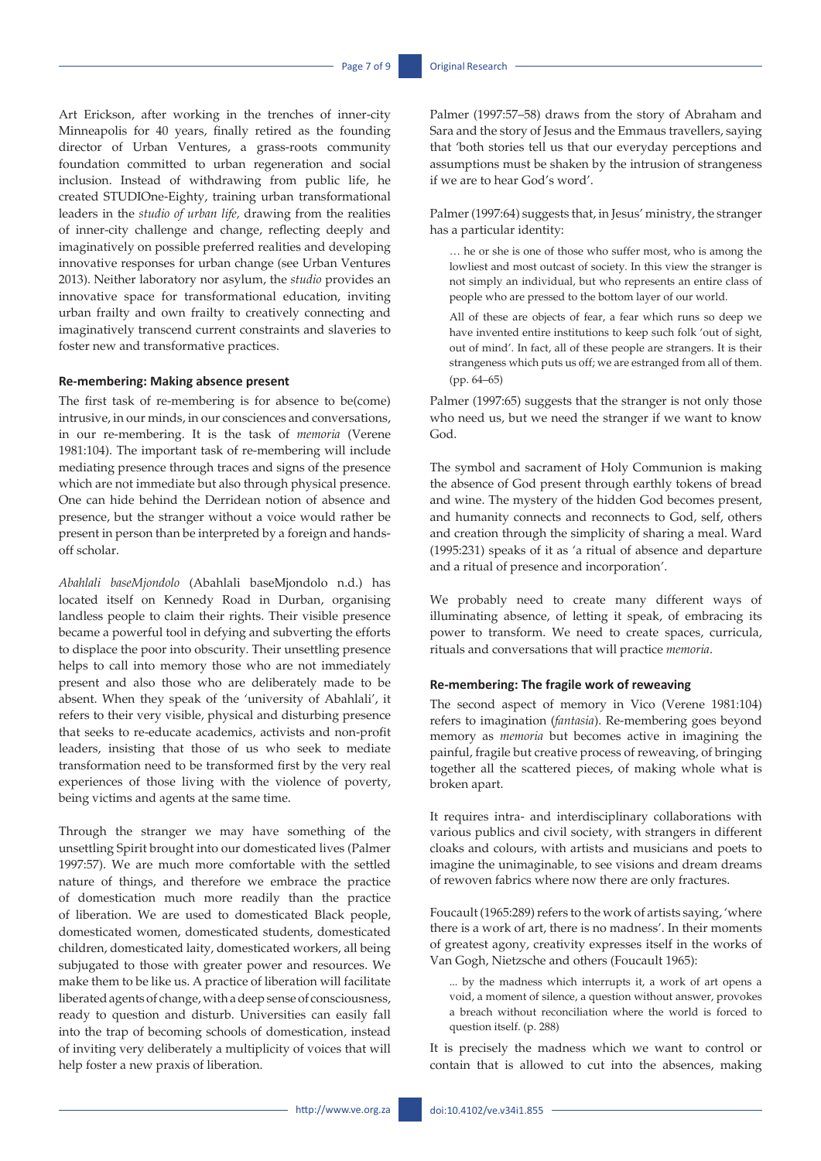Art Erickson, after working in the trenches of inner-city Minneapolis for 40 years, finally retired as the founding director of Urban Ventures, a grass-roots community foundation committed to urban regeneration and social inclusion. Instead of withdrawing from public life, he created STUDIOne-Eighty, training urban transformational leaders in the *studio of urban life,* drawing from the realities of inner-city challenge and change, reflecting deeply and imaginatively on possible preferred realities and developing innovative responses for urban change (see Urban Ventures 2013). Neither laboratory nor asylum, the *studio* provides an innovative space for transformational education, inviting urban frailty and own frailty to creatively connecting and imaginatively transcend current constraints and slaveries to foster new and transformative practices.

#### **Re-membering: Making absence present**

The first task of re-membering is for absence to be(come) intrusive, in our minds, in our consciences and conversations, in our re-membering. It is the task of *memoria* (Verene 1981:104). The important task of re-membering will include mediating presence through traces and signs of the presence which are not immediate but also through physical presence. One can hide behind the Derridean notion of absence and presence, but the stranger without a voice would rather be present in person than be interpreted by a foreign and handsoff scholar.

*Abahlali baseMjondolo* (Abahlali baseMjondolo n.d.) has located itself on Kennedy Road in Durban, organising landless people to claim their rights. Their visible presence became a powerful tool in defying and subverting the efforts to displace the poor into obscurity. Their unsettling presence helps to call into memory those who are not immediately present and also those who are deliberately made to be absent. When they speak of the 'university of Abahlali', it refers to their very visible, physical and disturbing presence that seeks to re-educate academics, activists and non-profit leaders, insisting that those of us who seek to mediate transformation need to be transformed first by the very real experiences of those living with the violence of poverty, being victims and agents at the same time.

Through the stranger we may have something of the unsettling Spirit brought into our domesticated lives (Palmer 1997:57). We are much more comfortable with the settled nature of things, and therefore we embrace the practice of domestication much more readily than the practice of liberation. We are used to domesticated Black people, domesticated women, domesticated students, domesticated children, domesticated laity, domesticated workers, all being subjugated to those with greater power and resources. We make them to be like us. A practice of liberation will facilitate liberated agents of change, with a deep sense of consciousness, ready to question and disturb. Universities can easily fall into the trap of becoming schools of domestication, instead of inviting very deliberately a multiplicity of voices that will help foster a new praxis of liberation.

Palmer (1997:57–58) draws from the story of Abraham and Sara and the story of Jesus and the Emmaus travellers, saying that 'both stories tell us that our everyday perceptions and assumptions must be shaken by the intrusion of strangeness if we are to hear God's word'.

Palmer (1997:64) suggests that, in Jesus' ministry, the stranger has a particular identity:

… he or she is one of those who suffer most, who is among the lowliest and most outcast of society. In this view the stranger is not simply an individual, but who represents an entire class of people who are pressed to the bottom layer of our world.

All of these are objects of fear, a fear which runs so deep we have invented entire institutions to keep such folk 'out of sight, out of mind'. In fact, all of these people are strangers. It is their strangeness which puts us off; we are estranged from all of them. (pp. 64–65)

Palmer (1997:65) suggests that the stranger is not only those who need us, but we need the stranger if we want to know God.

The symbol and sacrament of Holy Communion is making the absence of God present through earthly tokens of bread and wine. The mystery of the hidden God becomes present, and humanity connects and reconnects to God, self, others and creation through the simplicity of sharing a meal. Ward (1995:231) speaks of it as 'a ritual of absence and departure and a ritual of presence and incorporation'.

We probably need to create many different ways of illuminating absence, of letting it speak, of embracing its power to transform. We need to create spaces, curricula, rituals and conversations that will practice *memoria*.

#### **Re-membering: The fragile work of reweaving**

The second aspect of memory in Vico (Verene 1981:104) refers to imagination (*fantasia*). Re-membering goes beyond memory as *memoria* but becomes active in imagining the painful, fragile but creative process of reweaving, of bringing together all the scattered pieces, of making whole what is broken apart.

It requires intra- and interdisciplinary collaborations with various publics and civil society, with strangers in different cloaks and colours, with artists and musicians and poets to imagine the unimaginable, to see visions and dream dreams of rewoven fabrics where now there are only fractures.

Foucault (1965:289) refers to the work of artists saying, 'where there is a work of art, there is no madness'. In their moments of greatest agony, creativity expresses itself in the works of Van Gogh, Nietzsche and others (Foucault 1965):

... by the madness which interrupts it, a work of art opens a void, a moment of silence, a question without answer, provokes a breach without reconciliation where the world is forced to question itself. (p. 288)

It is precisely the madness which we want to control or contain that is allowed to cut into the absences, making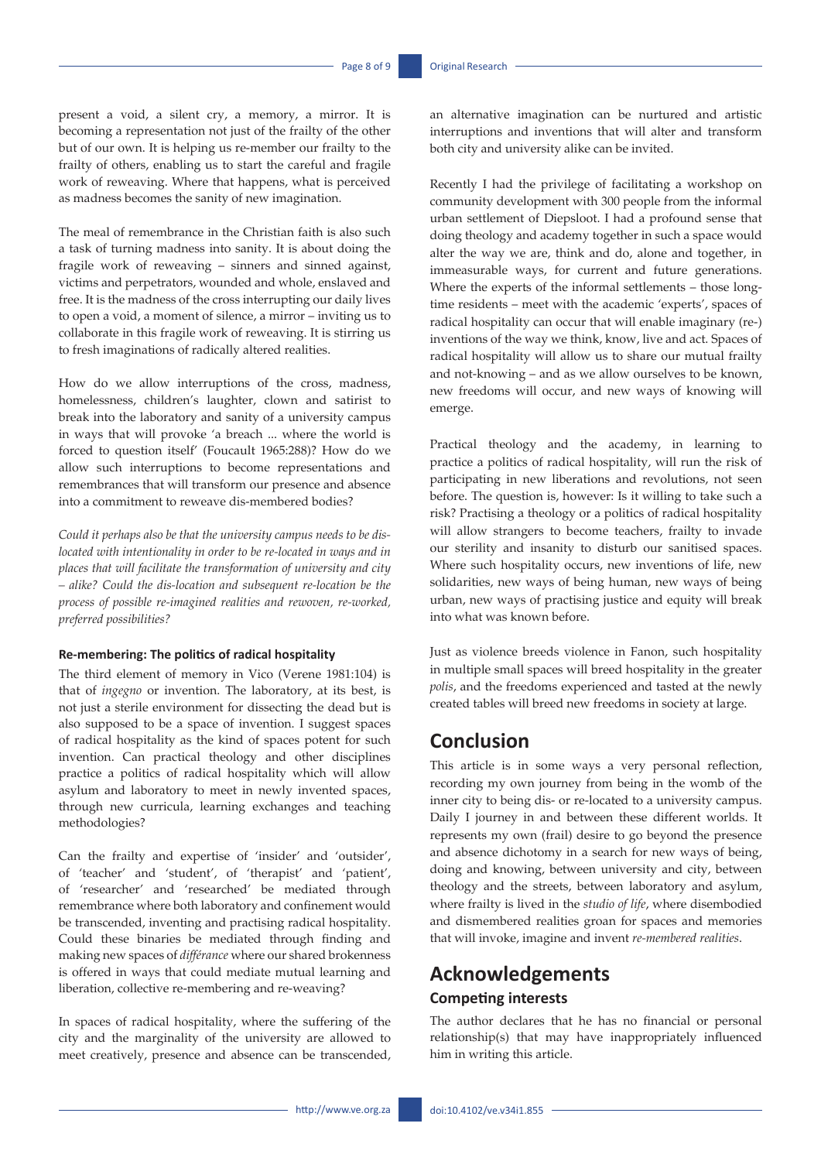present a void, a silent cry, a memory, a mirror. It is becoming a representation not just of the frailty of the other but of our own. It is helping us re-member our frailty to the frailty of others, enabling us to start the careful and fragile work of reweaving. Where that happens, what is perceived as madness becomes the sanity of new imagination.

The meal of remembrance in the Christian faith is also such a task of turning madness into sanity. It is about doing the fragile work of reweaving – sinners and sinned against, victims and perpetrators, wounded and whole, enslaved and free. It is the madness of the cross interrupting our daily lives to open a void, a moment of silence, a mirror – inviting us to collaborate in this fragile work of reweaving. It is stirring us to fresh imaginations of radically altered realities.

How do we allow interruptions of the cross, madness, homelessness, children's laughter, clown and satirist to break into the laboratory and sanity of a university campus in ways that will provoke 'a breach ... where the world is forced to question itself' (Foucault 1965:288)? How do we allow such interruptions to become representations and remembrances that will transform our presence and absence into a commitment to reweave dis-membered bodies?

*Could it perhaps also be that the university campus needs to be dislocated with intentionality in order to be re-located in ways and in places that will facilitate the transformation of university and city – alike? Could the dis-location and subsequent re-location be the process of possible re-imagined realities and rewoven, re-worked, preferred possibilities?* 

#### **Re-membering: The politics of radical hospitality**

The third element of memory in Vico (Verene 1981:104) is that of *ingegno* or invention. The laboratory, at its best, is not just a sterile environment for dissecting the dead but is also supposed to be a space of invention. I suggest spaces of radical hospitality as the kind of spaces potent for such invention. Can practical theology and other disciplines practice a politics of radical hospitality which will allow asylum and laboratory to meet in newly invented spaces, through new curricula, learning exchanges and teaching methodologies?

Can the frailty and expertise of 'insider' and 'outsider', of 'teacher' and 'student', of 'therapist' and 'patient', of 'researcher' and 'researched' be mediated through remembrance where both laboratory and confinement would be transcended, inventing and practising radical hospitality. Could these binaries be mediated through finding and making new spaces of *différance* where our shared brokenness is offered in ways that could mediate mutual learning and liberation, collective re-membering and re-weaving?

In spaces of radical hospitality, where the suffering of the city and the marginality of the university are allowed to meet creatively, presence and absence can be transcended, an alternative imagination can be nurtured and artistic interruptions and inventions that will alter and transform both city and university alike can be invited.

Recently I had the privilege of facilitating a workshop on community development with 300 people from the informal urban settlement of Diepsloot. I had a profound sense that doing theology and academy together in such a space would alter the way we are, think and do, alone and together, in immeasurable ways, for current and future generations. Where the experts of the informal settlements – those longtime residents – meet with the academic 'experts', spaces of radical hospitality can occur that will enable imaginary (re-) inventions of the way we think, know, live and act. Spaces of radical hospitality will allow us to share our mutual frailty and not-knowing – and as we allow ourselves to be known, new freedoms will occur, and new ways of knowing will emerge.

Practical theology and the academy, in learning to practice a politics of radical hospitality, will run the risk of participating in new liberations and revolutions, not seen before. The question is, however: Is it willing to take such a risk? Practising a theology or a politics of radical hospitality will allow strangers to become teachers, frailty to invade our sterility and insanity to disturb our sanitised spaces. Where such hospitality occurs, new inventions of life, new solidarities, new ways of being human, new ways of being urban, new ways of practising justice and equity will break into what was known before.

Just as violence breeds violence in Fanon, such hospitality in multiple small spaces will breed hospitality in the greater *polis*, and the freedoms experienced and tasted at the newly created tables will breed new freedoms in society at large.

### **Conclusion**

This article is in some ways a very personal reflection, recording my own journey from being in the womb of the inner city to being dis- or re-located to a university campus. Daily I journey in and between these different worlds. It represents my own (frail) desire to go beyond the presence and absence dichotomy in a search for new ways of being, doing and knowing, between university and city, between theology and the streets, between laboratory and asylum, where frailty is lived in the *studio of life*, where disembodied and dismembered realities groan for spaces and memories that will invoke, imagine and invent *re-membered realities*.

# **Acknowledgements Competing interests**

The author declares that he has no financial or personal relationship(s) that may have inappropriately influenced him in writing this article.